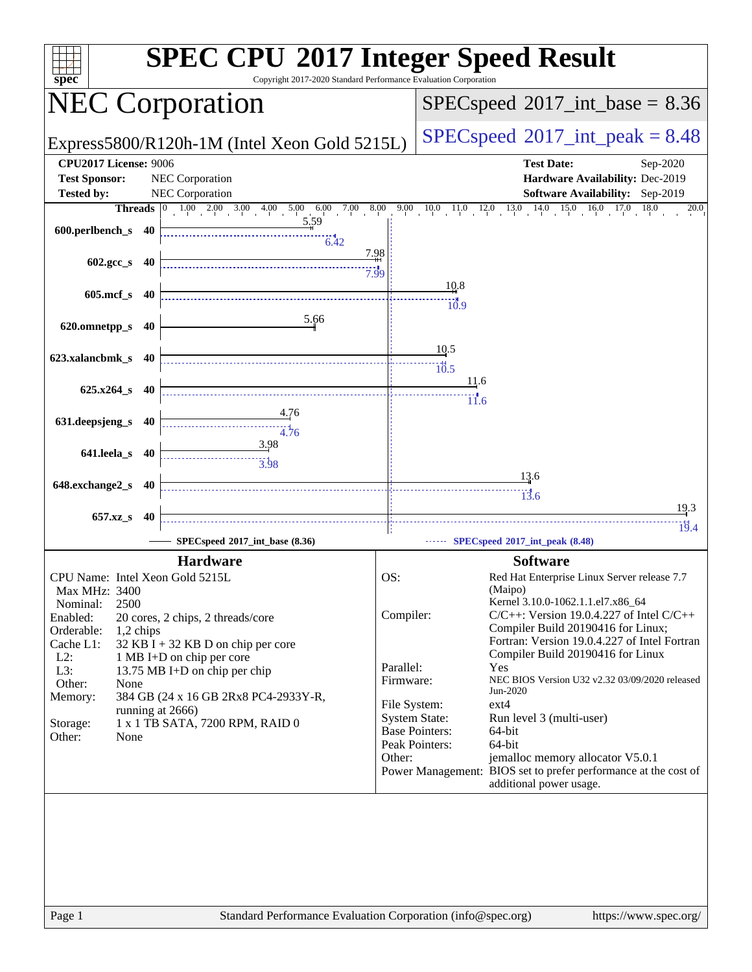| spec                                 | <b>SPEC CPU®2017 Integer Speed Result</b><br>Copyright 2017-2020 Standard Performance Evaluation Corporation |           |                                                                                            |
|--------------------------------------|--------------------------------------------------------------------------------------------------------------|-----------|--------------------------------------------------------------------------------------------|
|                                      | <b>NEC Corporation</b>                                                                                       |           | $SPEC speed^{\circ}2017\_int\_base = 8.36$                                                 |
|                                      | Express5800/R120h-1M (Intel Xeon Gold 5215L)                                                                 |           | $SPEC speed^{\circ}2017\_int\_peak = 8.48$                                                 |
| <b>CPU2017 License: 9006</b>         |                                                                                                              |           | <b>Test Date:</b><br>Sep-2020                                                              |
| <b>Test Sponsor:</b>                 | NEC Corporation                                                                                              |           | Hardware Availability: Dec-2019                                                            |
| <b>Tested by:</b>                    | NEC Corporation                                                                                              |           | Software Availability: Sep-2019                                                            |
|                                      | $1.00$ $2.00$ $3.00$ $4.00$ $5.00$ $6.00$ $7.00$ $8.00$<br>Threads $ 0\rangle$<br>5.59                       |           | 14.0<br>$15.0$ $16.0$ $17.0$<br>9.00 10.0 11.0 12.0 13.0<br>18.0<br>20.0                   |
| 600.perlbench_s 40                   | 6.42                                                                                                         |           |                                                                                            |
|                                      | 7.98                                                                                                         |           |                                                                                            |
| 602.gcc_s 40                         | 7.99                                                                                                         |           |                                                                                            |
|                                      |                                                                                                              |           | 10.8                                                                                       |
| 605.mcf_s 40                         |                                                                                                              |           | $\dddot{10.9}$                                                                             |
| 620.omnetpp_s 40                     | 5.66                                                                                                         |           |                                                                                            |
|                                      |                                                                                                              |           |                                                                                            |
| 623.xalancbmk_s 40                   |                                                                                                              |           | 10.5                                                                                       |
|                                      |                                                                                                              |           | 10.5<br>11.6                                                                               |
| $625.x264$ s 40                      |                                                                                                              |           | $\overline{11.6}$                                                                          |
|                                      | 4.76                                                                                                         |           |                                                                                            |
| 631.deepsjeng_s 40                   | 4.76                                                                                                         |           |                                                                                            |
|                                      | 3.98                                                                                                         |           |                                                                                            |
| 641.leela_s 40                       |                                                                                                              |           |                                                                                            |
| 648.exchange2_s 40                   |                                                                                                              |           | <u>13.6</u>                                                                                |
|                                      |                                                                                                              |           | 13.6                                                                                       |
| 657.xz_s                             | - 40                                                                                                         |           | 19.3                                                                                       |
|                                      | SPECspeed®2017_int_base (8.36)                                                                               |           | 19.4<br>SPECspeed®2017_int_peak (8.48)                                                     |
|                                      |                                                                                                              |           |                                                                                            |
|                                      | <b>Hardware</b>                                                                                              |           | <b>Software</b>                                                                            |
| Max MHz: 3400                        | CPU Name: Intel Xeon Gold 5215L                                                                              | OS:       | Red Hat Enterprise Linux Server release 7.7<br>(Maipo)                                     |
| 2500<br>Nominal:                     |                                                                                                              |           | Kernel 3.10.0-1062.1.1.el7.x86_64                                                          |
| Enabled:                             | 20 cores, 2 chips, 2 threads/core                                                                            | Compiler: | $C/C++$ : Version 19.0.4.227 of Intel $C/C++$<br>Compiler Build 20190416 for Linux;        |
| Orderable:<br>1,2 chips<br>Cache L1: | 32 KB I + 32 KB D on chip per core                                                                           |           | Fortran: Version 19.0.4.227 of Intel Fortran                                               |
| $L2$ :                               | 1 MB I+D on chip per core                                                                                    |           | Compiler Build 20190416 for Linux                                                          |
| L3:                                  | 13.75 MB I+D on chip per chip                                                                                | Parallel: | Yes<br>NEC BIOS Version U32 v2.32 03/09/2020 released                                      |
| Other:<br>None<br>Memory:            | 384 GB (24 x 16 GB 2Rx8 PC4-2933Y-R,                                                                         | Firmware: | Jun-2020                                                                                   |
|                                      | running at 2666)                                                                                             |           | ext4<br>File System:                                                                       |
| Storage:                             | 1 x 1 TB SATA, 7200 RPM, RAID 0                                                                              |           | <b>System State:</b><br>Run level 3 (multi-user)<br><b>Base Pointers:</b><br>64-bit        |
| Other:<br>None                       |                                                                                                              |           | Peak Pointers:<br>64-bit                                                                   |
|                                      |                                                                                                              | Other:    | jemalloc memory allocator V5.0.1                                                           |
|                                      |                                                                                                              |           | Power Management: BIOS set to prefer performance at the cost of<br>additional power usage. |
|                                      |                                                                                                              |           |                                                                                            |
|                                      |                                                                                                              |           |                                                                                            |
|                                      |                                                                                                              |           |                                                                                            |
|                                      |                                                                                                              |           |                                                                                            |
|                                      |                                                                                                              |           |                                                                                            |
|                                      |                                                                                                              |           |                                                                                            |
| Page 1                               | Standard Performance Evaluation Corporation (info@spec.org)                                                  |           | https://www.spec.org/                                                                      |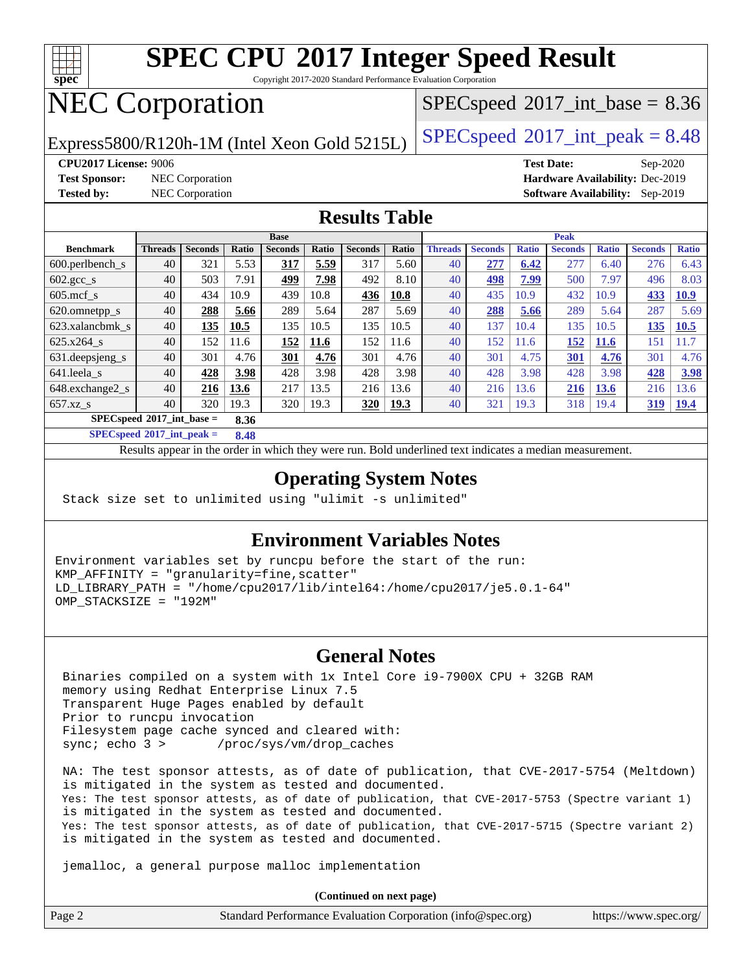

Copyright 2017-2020 Standard Performance Evaluation Corporation

# NEC Corporation

Express5800/R120h-1M (Intel Xeon Gold 5215L)  $\big|$  [SPECspeed](http://www.spec.org/auto/cpu2017/Docs/result-fields.html#SPECspeed2017intpeak)®[2017\\_int\\_peak = 8](http://www.spec.org/auto/cpu2017/Docs/result-fields.html#SPECspeed2017intpeak).48

 $SPECspeed^{\circledcirc}2017\_int\_base = 8.36$  $SPECspeed^{\circledcirc}2017\_int\_base = 8.36$ 

**[Test Sponsor:](http://www.spec.org/auto/cpu2017/Docs/result-fields.html#TestSponsor)** NEC Corporation **[Hardware Availability:](http://www.spec.org/auto/cpu2017/Docs/result-fields.html#HardwareAvailability)** Dec-2019

**[CPU2017 License:](http://www.spec.org/auto/cpu2017/Docs/result-fields.html#CPU2017License)** 9006 **[Test Date:](http://www.spec.org/auto/cpu2017/Docs/result-fields.html#TestDate)** Sep-2020 **[Tested by:](http://www.spec.org/auto/cpu2017/Docs/result-fields.html#Testedby)** NEC Corporation **[Software Availability:](http://www.spec.org/auto/cpu2017/Docs/result-fields.html#SoftwareAvailability)** Sep-2019

#### **[Results Table](http://www.spec.org/auto/cpu2017/Docs/result-fields.html#ResultsTable)**

|                                             | <b>Base</b>    |                |       |                |       |                | <b>Peak</b> |                |                |              |                |              |                |              |
|---------------------------------------------|----------------|----------------|-------|----------------|-------|----------------|-------------|----------------|----------------|--------------|----------------|--------------|----------------|--------------|
| <b>Benchmark</b>                            | <b>Threads</b> | <b>Seconds</b> | Ratio | <b>Seconds</b> | Ratio | <b>Seconds</b> | Ratio       | <b>Threads</b> | <b>Seconds</b> | <b>Ratio</b> | <b>Seconds</b> | <b>Ratio</b> | <b>Seconds</b> | <b>Ratio</b> |
| 600.perlbench s                             | 40             | 321            | 5.53  | 317            | 5.59  | 317            | 5.60        | 40             | 277            | 6.42         | 277            | 6.40         | 276            | 6.43         |
| $602.\text{gcc s}$                          | 40             | 503            | 7.91  | 499            | 7.98  | 492            | 8.10        | 40             | 498            | 7.99         | 500            | 7.97         | 496            | 8.03         |
| $605$ .mcf s                                | 40             | 434            | 10.9  | 439            | 10.8  | 436            | 10.8        | 40             | 435            | 10.9         | 432            | 10.9         | 433            | 10.9         |
| 620.omnetpp_s                               | 40             | 288            | 5.66  | 289            | 5.64  | 287            | 5.69        | 40             | 288            | 5.66         | 289            | 5.64         | 287            | 5.69         |
| 623.xalancbmk s                             | 40             | 135            | 10.5  | 135            | 10.5  | 135            | 10.5        | 40             | 137            | 10.4         | 135            | 10.5         | 135            | <b>10.5</b>  |
| 625.x264 s                                  | 40             | 152            | 11.6  | 152            | 11.6  | 152            | 11.6        | 40             | 152            | 11.6         | 152            | <b>11.6</b>  | 151            | 11.7         |
| 631.deepsjeng_s                             | 40             | 301            | 4.76  | 301            | 4.76  | 301            | 4.76        | 40             | 301            | 4.75         | 301            | 4.76         | 301            | 4.76         |
| 641.leela s                                 | 40             | 428            | 3.98  | 428            | 3.98  | 428            | 3.98        | 40             | 428            | 3.98         | 428            | 3.98         | 428            | 3.98         |
| 648.exchange2_s                             | 40             | 216            | 13.6  | 217            | 13.5  | 216            | 13.6        | 40             | 216            | 13.6         | 216            | <b>13.6</b>  | 216            | 13.6         |
| $657.xz$ s                                  | 40             | 320            | 19.3  | 320            | 19.3  | 320            | <u>19.3</u> | 40             | 321            | 19.3         | 318            | 19.4         | <u>319</u>     | <u>19.4</u>  |
| $SPECspeed^{\circ 2017}$ int base =<br>8.36 |                |                |       |                |       |                |             |                |                |              |                |              |                |              |

**[SPECspeed](http://www.spec.org/auto/cpu2017/Docs/result-fields.html#SPECspeed2017intpeak)[2017\\_int\\_peak =](http://www.spec.org/auto/cpu2017/Docs/result-fields.html#SPECspeed2017intpeak) 8.48**

Results appear in the [order in which they were run.](http://www.spec.org/auto/cpu2017/Docs/result-fields.html#RunOrder) Bold underlined text [indicates a median measurement](http://www.spec.org/auto/cpu2017/Docs/result-fields.html#Median).

### **[Operating System Notes](http://www.spec.org/auto/cpu2017/Docs/result-fields.html#OperatingSystemNotes)**

Stack size set to unlimited using "ulimit -s unlimited"

### **[Environment Variables Notes](http://www.spec.org/auto/cpu2017/Docs/result-fields.html#EnvironmentVariablesNotes)**

Environment variables set by runcpu before the start of the run: KMP\_AFFINITY = "granularity=fine,scatter" LD\_LIBRARY\_PATH = "/home/cpu2017/lib/intel64:/home/cpu2017/je5.0.1-64" OMP\_STACKSIZE = "192M"

### **[General Notes](http://www.spec.org/auto/cpu2017/Docs/result-fields.html#GeneralNotes)**

 Binaries compiled on a system with 1x Intel Core i9-7900X CPU + 32GB RAM memory using Redhat Enterprise Linux 7.5 Transparent Huge Pages enabled by default Prior to runcpu invocation Filesystem page cache synced and cleared with: sync; echo 3 > /proc/sys/vm/drop\_caches

 NA: The test sponsor attests, as of date of publication, that CVE-2017-5754 (Meltdown) is mitigated in the system as tested and documented. Yes: The test sponsor attests, as of date of publication, that CVE-2017-5753 (Spectre variant 1) is mitigated in the system as tested and documented. Yes: The test sponsor attests, as of date of publication, that CVE-2017-5715 (Spectre variant 2) is mitigated in the system as tested and documented.

jemalloc, a general purpose malloc implementation

**(Continued on next page)**

| Page 2 | Standard Performance Evaluation Corporation (info@spec.org) | https://www.spec.org/ |
|--------|-------------------------------------------------------------|-----------------------|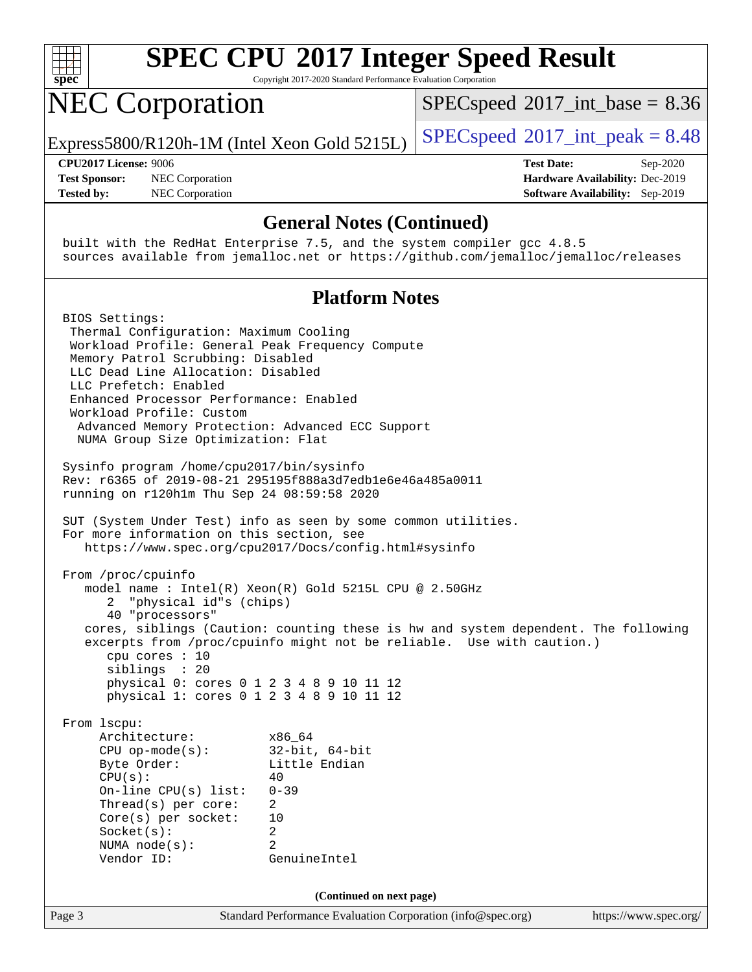

Copyright 2017-2020 Standard Performance Evaluation Corporation

## NEC Corporation

 $SPECspeed^{\circ}2017\_int\_base = 8.36$  $SPECspeed^{\circ}2017\_int\_base = 8.36$ 

Express5800/R120h-1M (Intel Xeon Gold 5215L)  $\left|$  [SPECspeed](http://www.spec.org/auto/cpu2017/Docs/result-fields.html#SPECspeed2017intpeak)®[2017\\_int\\_peak = 8](http://www.spec.org/auto/cpu2017/Docs/result-fields.html#SPECspeed2017intpeak).48

**[Test Sponsor:](http://www.spec.org/auto/cpu2017/Docs/result-fields.html#TestSponsor)** NEC Corporation **[Hardware Availability:](http://www.spec.org/auto/cpu2017/Docs/result-fields.html#HardwareAvailability)** Dec-2019 **[Tested by:](http://www.spec.org/auto/cpu2017/Docs/result-fields.html#Testedby)** NEC Corporation **[Software Availability:](http://www.spec.org/auto/cpu2017/Docs/result-fields.html#SoftwareAvailability)** Sep-2019

**[CPU2017 License:](http://www.spec.org/auto/cpu2017/Docs/result-fields.html#CPU2017License)** 9006 **[Test Date:](http://www.spec.org/auto/cpu2017/Docs/result-fields.html#TestDate)** Sep-2020

#### **[General Notes \(Continued\)](http://www.spec.org/auto/cpu2017/Docs/result-fields.html#GeneralNotes)**

 built with the RedHat Enterprise 7.5, and the system compiler gcc 4.8.5 sources available from jemalloc.net or <https://github.com/jemalloc/jemalloc/releases>

### **[Platform Notes](http://www.spec.org/auto/cpu2017/Docs/result-fields.html#PlatformNotes)**

Page 3 Standard Performance Evaluation Corporation [\(info@spec.org\)](mailto:info@spec.org) <https://www.spec.org/> BIOS Settings: Thermal Configuration: Maximum Cooling Workload Profile: General Peak Frequency Compute Memory Patrol Scrubbing: Disabled LLC Dead Line Allocation: Disabled LLC Prefetch: Enabled Enhanced Processor Performance: Enabled Workload Profile: Custom Advanced Memory Protection: Advanced ECC Support NUMA Group Size Optimization: Flat Sysinfo program /home/cpu2017/bin/sysinfo Rev: r6365 of 2019-08-21 295195f888a3d7edb1e6e46a485a0011 running on r120h1m Thu Sep 24 08:59:58 2020 SUT (System Under Test) info as seen by some common utilities. For more information on this section, see <https://www.spec.org/cpu2017/Docs/config.html#sysinfo> From /proc/cpuinfo model name : Intel(R) Xeon(R) Gold 5215L CPU @ 2.50GHz 2 "physical id"s (chips) 40 "processors" cores, siblings (Caution: counting these is hw and system dependent. The following excerpts from /proc/cpuinfo might not be reliable. Use with caution.) cpu cores : 10 siblings : 20 physical 0: cores 0 1 2 3 4 8 9 10 11 12 physical 1: cores 0 1 2 3 4 8 9 10 11 12 From lscpu: Architecture: x86\_64 CPU op-mode(s): 32-bit, 64-bit Byte Order: Little Endian  $CPU(s):$  40 On-line CPU(s) list: 0-39 Thread(s) per core: 2 Core(s) per socket: 10 Socket(s): 2 NUMA node(s): 2 Vendor ID: GenuineIntel **(Continued on next page)**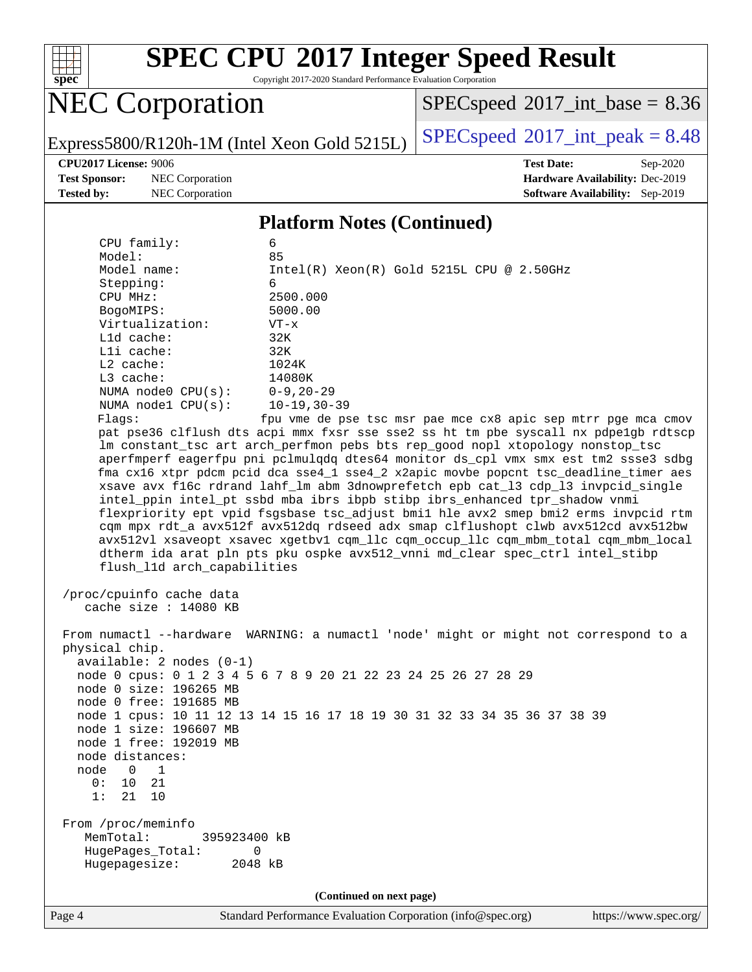

Copyright 2017-2020 Standard Performance Evaluation Corporation

# NEC Corporation

 $SPEC speed$ <sup>®</sup>[2017\\_int\\_base =](http://www.spec.org/auto/cpu2017/Docs/result-fields.html#SPECspeed2017intbase) 8.36

Express5800/R120h-1M (Intel Xeon Gold 5215L)  $\left|$  [SPECspeed](http://www.spec.org/auto/cpu2017/Docs/result-fields.html#SPECspeed2017intpeak)<sup>®</sup>[2017\\_int\\_peak = 8](http://www.spec.org/auto/cpu2017/Docs/result-fields.html#SPECspeed2017intpeak).48

**[Test Sponsor:](http://www.spec.org/auto/cpu2017/Docs/result-fields.html#TestSponsor)** NEC Corporation **[Hardware Availability:](http://www.spec.org/auto/cpu2017/Docs/result-fields.html#HardwareAvailability)** Dec-2019 **[Tested by:](http://www.spec.org/auto/cpu2017/Docs/result-fields.html#Testedby)** NEC Corporation **[Software Availability:](http://www.spec.org/auto/cpu2017/Docs/result-fields.html#SoftwareAvailability)** Sep-2019

**[CPU2017 License:](http://www.spec.org/auto/cpu2017/Docs/result-fields.html#CPU2017License)** 9006 **[Test Date:](http://www.spec.org/auto/cpu2017/Docs/result-fields.html#TestDate)** Sep-2020

#### **[Platform Notes \(Continued\)](http://www.spec.org/auto/cpu2017/Docs/result-fields.html#PlatformNotes)**

| CPU family:                                                                                                                                                                                                                                                           | 6                                                                                                                                                                                                                                  |  |  |  |
|-----------------------------------------------------------------------------------------------------------------------------------------------------------------------------------------------------------------------------------------------------------------------|------------------------------------------------------------------------------------------------------------------------------------------------------------------------------------------------------------------------------------|--|--|--|
| Model:<br>Model name:                                                                                                                                                                                                                                                 | 85<br>Intel(R) Xeon(R) Gold 5215L CPU @ 2.50GHz                                                                                                                                                                                    |  |  |  |
| Stepping:                                                                                                                                                                                                                                                             | 6                                                                                                                                                                                                                                  |  |  |  |
| CPU MHz:                                                                                                                                                                                                                                                              | 2500.000                                                                                                                                                                                                                           |  |  |  |
| BogoMIPS:                                                                                                                                                                                                                                                             | 5000.00                                                                                                                                                                                                                            |  |  |  |
| Virtualization:                                                                                                                                                                                                                                                       | $VT - x$                                                                                                                                                                                                                           |  |  |  |
| L1d cache:                                                                                                                                                                                                                                                            | 32K                                                                                                                                                                                                                                |  |  |  |
| Lli cache:                                                                                                                                                                                                                                                            | 32K                                                                                                                                                                                                                                |  |  |  |
| $L2$ cache:                                                                                                                                                                                                                                                           | 1024K                                                                                                                                                                                                                              |  |  |  |
| L3 cache:                                                                                                                                                                                                                                                             | 14080K                                                                                                                                                                                                                             |  |  |  |
| NUMA node0 CPU(s):                                                                                                                                                                                                                                                    | $0 - 9, 20 - 29$                                                                                                                                                                                                                   |  |  |  |
| NUMA $node1$ $CPU(s)$ :                                                                                                                                                                                                                                               | 10-19,30-39                                                                                                                                                                                                                        |  |  |  |
| Flags:                                                                                                                                                                                                                                                                | fpu vme de pse tsc msr pae mce cx8 apic sep mtrr pge mca cmov                                                                                                                                                                      |  |  |  |
|                                                                                                                                                                                                                                                                       | pat pse36 clflush dts acpi mmx fxsr sse sse2 ss ht tm pbe syscall nx pdpelgb rdtscp                                                                                                                                                |  |  |  |
|                                                                                                                                                                                                                                                                       | lm constant_tsc art arch_perfmon pebs bts rep_good nopl xtopology nonstop_tsc                                                                                                                                                      |  |  |  |
|                                                                                                                                                                                                                                                                       | aperfmperf eagerfpu pni pclmulqdq dtes64 monitor ds_cpl vmx smx est tm2 ssse3 sdbg                                                                                                                                                 |  |  |  |
|                                                                                                                                                                                                                                                                       | fma cx16 xtpr pdcm pcid dca sse4_1 sse4_2 x2apic movbe popcnt tsc_deadline_timer aes                                                                                                                                               |  |  |  |
|                                                                                                                                                                                                                                                                       | xsave avx f16c rdrand lahf_lm abm 3dnowprefetch epb cat_13 cdp_13 invpcid_single                                                                                                                                                   |  |  |  |
|                                                                                                                                                                                                                                                                       | intel_ppin intel_pt ssbd mba ibrs ibpb stibp ibrs_enhanced tpr_shadow vnmi                                                                                                                                                         |  |  |  |
|                                                                                                                                                                                                                                                                       | flexpriority ept vpid fsgsbase tsc_adjust bmil hle avx2 smep bmi2 erms invpcid rtm<br>cqm mpx rdt_a avx512f avx512dq rdseed adx smap clflushopt clwb avx512cd avx512bw                                                             |  |  |  |
|                                                                                                                                                                                                                                                                       | avx512vl xsaveopt xsavec xgetbvl cqm_llc cqm_occup_llc cqm_mbm_total cqm_mbm_local                                                                                                                                                 |  |  |  |
|                                                                                                                                                                                                                                                                       | dtherm ida arat pln pts pku ospke avx512_vnni md_clear spec_ctrl intel_stibp                                                                                                                                                       |  |  |  |
| flush_11d arch_capabilities                                                                                                                                                                                                                                           |                                                                                                                                                                                                                                    |  |  |  |
| /proc/cpuinfo cache data<br>cache size : 14080 KB<br>physical chip.<br>$available: 2 nodes (0-1)$<br>node 0 size: 196265 MB<br>node 0 free: 191685 MB<br>node 1 size: 196607 MB<br>node 1 free: 192019 MB<br>node distances:<br>node<br>$\mathbf{0}$<br>1<br>0: 10 21 | From numactl --hardware WARNING: a numactl 'node' might or might not correspond to a<br>node 0 cpus: 0 1 2 3 4 5 6 7 8 9 20 21 22 23 24 25 26 27 28 29<br>node 1 cpus: 10 11 12 13 14 15 16 17 18 19 30 31 32 33 34 35 36 37 38 39 |  |  |  |
| 1:<br>21<br>10                                                                                                                                                                                                                                                        |                                                                                                                                                                                                                                    |  |  |  |
| From /proc/meminfo<br>MemTotal:<br>395923400 kB<br>HugePages_Total:<br>0<br>Hugepagesize:<br>2048 kB                                                                                                                                                                  |                                                                                                                                                                                                                                    |  |  |  |
| (Continued on next page)                                                                                                                                                                                                                                              |                                                                                                                                                                                                                                    |  |  |  |
|                                                                                                                                                                                                                                                                       |                                                                                                                                                                                                                                    |  |  |  |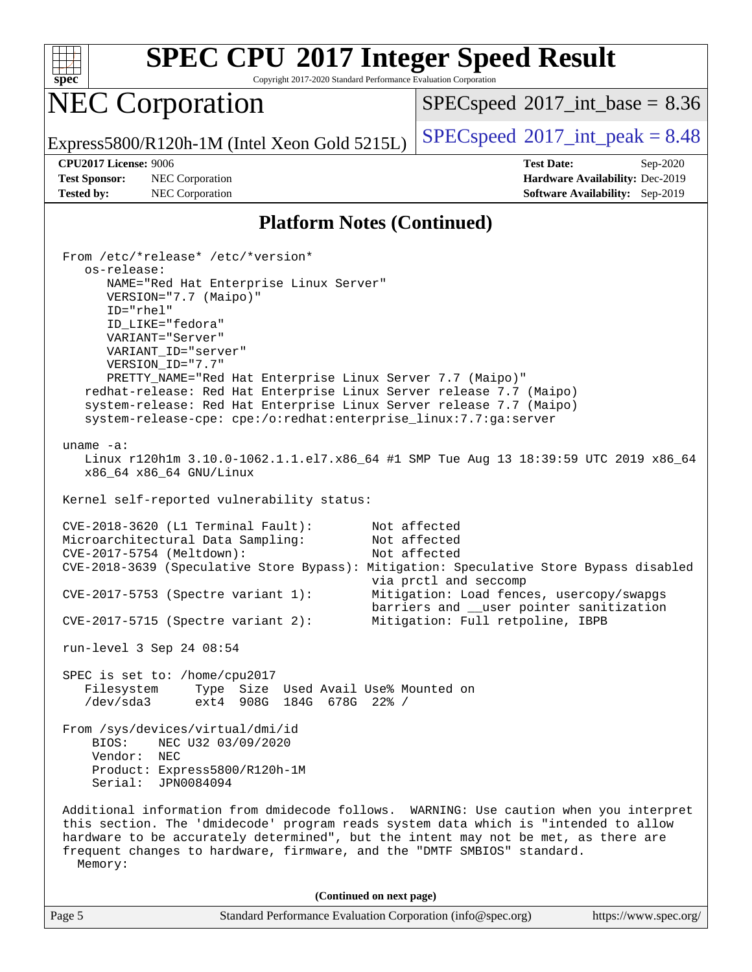

Copyright 2017-2020 Standard Performance Evaluation Corporation

## NEC Corporation

 $SPECspeed^{\circ}2017\_int\_base = 8.36$  $SPECspeed^{\circ}2017\_int\_base = 8.36$ 

Express5800/R120h-1M (Intel Xeon Gold 5215L)  $\left|$  [SPECspeed](http://www.spec.org/auto/cpu2017/Docs/result-fields.html#SPECspeed2017intpeak)®[2017\\_int\\_peak = 8](http://www.spec.org/auto/cpu2017/Docs/result-fields.html#SPECspeed2017intpeak).48

**[Tested by:](http://www.spec.org/auto/cpu2017/Docs/result-fields.html#Testedby)** NEC Corporation **[Software Availability:](http://www.spec.org/auto/cpu2017/Docs/result-fields.html#SoftwareAvailability)** Sep-2019

**[CPU2017 License:](http://www.spec.org/auto/cpu2017/Docs/result-fields.html#CPU2017License)** 9006 **[Test Date:](http://www.spec.org/auto/cpu2017/Docs/result-fields.html#TestDate)** Sep-2020 **[Test Sponsor:](http://www.spec.org/auto/cpu2017/Docs/result-fields.html#TestSponsor)** NEC Corporation **[Hardware Availability:](http://www.spec.org/auto/cpu2017/Docs/result-fields.html#HardwareAvailability)** Dec-2019

#### **[Platform Notes \(Continued\)](http://www.spec.org/auto/cpu2017/Docs/result-fields.html#PlatformNotes)**

 From /etc/\*release\* /etc/\*version\* os-release: NAME="Red Hat Enterprise Linux Server" VERSION="7.7 (Maipo)" ID="rhel" ID\_LIKE="fedora" VARIANT="Server" VARIANT\_ID="server" VERSION\_ID="7.7" PRETTY\_NAME="Red Hat Enterprise Linux Server 7.7 (Maipo)" redhat-release: Red Hat Enterprise Linux Server release 7.7 (Maipo) system-release: Red Hat Enterprise Linux Server release 7.7 (Maipo) system-release-cpe: cpe:/o:redhat:enterprise\_linux:7.7:ga:server uname -a: Linux r120h1m 3.10.0-1062.1.1.el7.x86\_64 #1 SMP Tue Aug 13 18:39:59 UTC 2019 x86\_64 x86\_64 x86\_64 GNU/Linux Kernel self-reported vulnerability status: CVE-2018-3620 (L1 Terminal Fault): Not affected Microarchitectural Data Sampling: Not affected CVE-2017-5754 (Meltdown): Not affected CVE-2018-3639 (Speculative Store Bypass): Mitigation: Speculative Store Bypass disabled via prctl and seccomp CVE-2017-5753 (Spectre variant 1): Mitigation: Load fences, usercopy/swapgs barriers and \_\_user pointer sanitization CVE-2017-5715 (Spectre variant 2): Mitigation: Full retpoline, IBPB run-level 3 Sep 24 08:54 SPEC is set to: /home/cpu2017 Filesystem Type Size Used Avail Use% Mounted on /dev/sda3 ext4 908G 184G 678G 22% / From /sys/devices/virtual/dmi/id BIOS: NEC U32 03/09/2020 Vendor: NEC Product: Express5800/R120h-1M Serial: JPN0084094 Additional information from dmidecode follows. WARNING: Use caution when you interpret this section. The 'dmidecode' program reads system data which is "intended to allow hardware to be accurately determined", but the intent may not be met, as there are frequent changes to hardware, firmware, and the "DMTF SMBIOS" standard. Memory: **(Continued on next page)**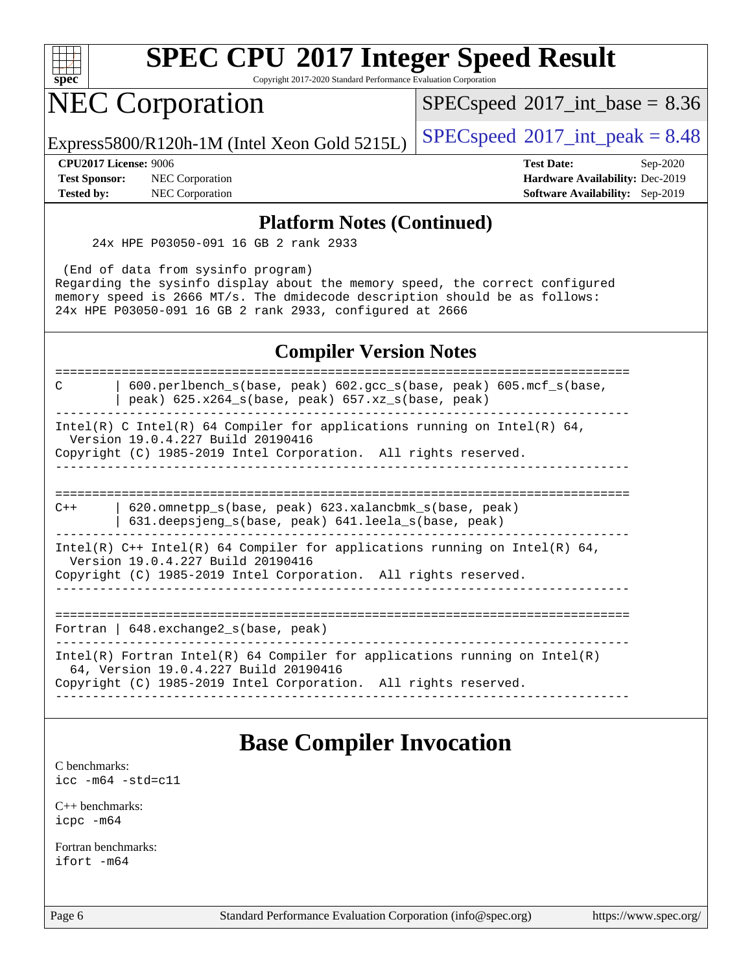

Copyright 2017-2020 Standard Performance Evaluation Corporation

### NEC Corporation

 $SPECspeed^{\circledcirc}2017\_int\_base = 8.36$  $SPECspeed^{\circledcirc}2017\_int\_base = 8.36$ 

Express5800/R120h-1M (Intel Xeon Gold 5215L)  $\big|$  [SPECspeed](http://www.spec.org/auto/cpu2017/Docs/result-fields.html#SPECspeed2017intpeak)®[2017\\_int\\_peak = 8](http://www.spec.org/auto/cpu2017/Docs/result-fields.html#SPECspeed2017intpeak).48

**[Test Sponsor:](http://www.spec.org/auto/cpu2017/Docs/result-fields.html#TestSponsor)** NEC Corporation **[Hardware Availability:](http://www.spec.org/auto/cpu2017/Docs/result-fields.html#HardwareAvailability)** Dec-2019 **[Tested by:](http://www.spec.org/auto/cpu2017/Docs/result-fields.html#Testedby)** NEC Corporation **[Software Availability:](http://www.spec.org/auto/cpu2017/Docs/result-fields.html#SoftwareAvailability)** Sep-2019

**[CPU2017 License:](http://www.spec.org/auto/cpu2017/Docs/result-fields.html#CPU2017License)** 9006 **[Test Date:](http://www.spec.org/auto/cpu2017/Docs/result-fields.html#TestDate)** Sep-2020

#### **[Platform Notes \(Continued\)](http://www.spec.org/auto/cpu2017/Docs/result-fields.html#PlatformNotes)**

24x HPE P03050-091 16 GB 2 rank 2933

 (End of data from sysinfo program) Regarding the sysinfo display about the memory speed, the correct configured memory speed is 2666 MT/s. The dmidecode description should be as follows: 24x HPE P03050-091 16 GB 2 rank 2933, configured at 2666

### **[Compiler Version Notes](http://www.spec.org/auto/cpu2017/Docs/result-fields.html#CompilerVersionNotes)**

==============================================================================

C | 600.perlbench\_s(base, peak) 602.gcc\_s(base, peak) 605.mcf\_s(base, | peak) 625.x264\_s(base, peak) 657.xz\_s(base, peak)

------------------------------------------------------------------------------

Intel(R) C Intel(R) 64 Compiler for applications running on Intel(R)  $64$ , Version 19.0.4.227 Build 20190416 Copyright (C) 1985-2019 Intel Corporation. All rights reserved.

------------------------------------------------------------------------------

============================================================================== C++ | 620.omnetpp\_s(base, peak) 623.xalancbmk\_s(base, peak) | 631.deepsjeng\_s(base, peak) 641.leela\_s(base, peak)

------------------------------------------------------------------------------ Intel(R) C++ Intel(R) 64 Compiler for applications running on Intel(R) 64, Version 19.0.4.227 Build 20190416 Copyright (C) 1985-2019 Intel Corporation. All rights reserved.

------------------------------------------------------------------------------

============================================================================== Fortran | 648.exchange2\_s(base, peak)

------------------------------------------------------------------------------ Intel(R) Fortran Intel(R) 64 Compiler for applications running on Intel(R)

------------------------------------------------------------------------------

 64, Version 19.0.4.227 Build 20190416 Copyright (C) 1985-2019 Intel Corporation. All rights reserved.

### **[Base Compiler Invocation](http://www.spec.org/auto/cpu2017/Docs/result-fields.html#BaseCompilerInvocation)**

[C benchmarks](http://www.spec.org/auto/cpu2017/Docs/result-fields.html#Cbenchmarks): [icc -m64 -std=c11](http://www.spec.org/cpu2017/results/res2020q4/cpu2017-20200928-24125.flags.html#user_CCbase_intel_icc_64bit_c11_33ee0cdaae7deeeab2a9725423ba97205ce30f63b9926c2519791662299b76a0318f32ddfffdc46587804de3178b4f9328c46fa7c2b0cd779d7a61945c91cd35)

[C++ benchmarks:](http://www.spec.org/auto/cpu2017/Docs/result-fields.html#CXXbenchmarks) [icpc -m64](http://www.spec.org/cpu2017/results/res2020q4/cpu2017-20200928-24125.flags.html#user_CXXbase_intel_icpc_64bit_4ecb2543ae3f1412ef961e0650ca070fec7b7afdcd6ed48761b84423119d1bf6bdf5cad15b44d48e7256388bc77273b966e5eb805aefd121eb22e9299b2ec9d9)

[Fortran benchmarks](http://www.spec.org/auto/cpu2017/Docs/result-fields.html#Fortranbenchmarks): [ifort -m64](http://www.spec.org/cpu2017/results/res2020q4/cpu2017-20200928-24125.flags.html#user_FCbase_intel_ifort_64bit_24f2bb282fbaeffd6157abe4f878425411749daecae9a33200eee2bee2fe76f3b89351d69a8130dd5949958ce389cf37ff59a95e7a40d588e8d3a57e0c3fd751)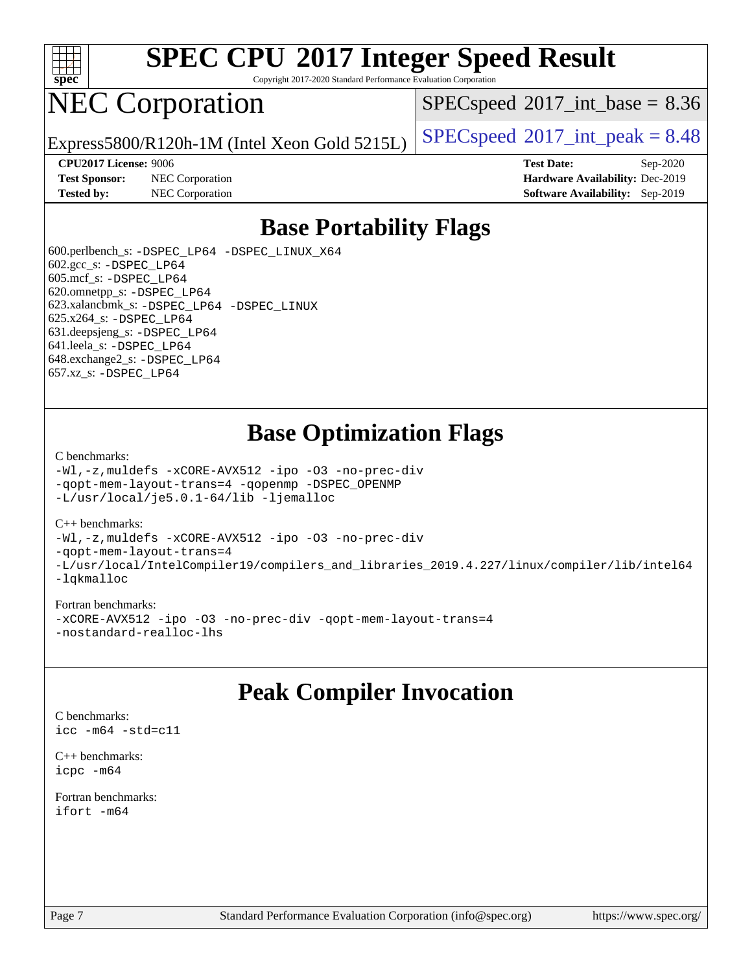

Copyright 2017-2020 Standard Performance Evaluation Corporation

## NEC Corporation

 $SPECspeed^{\circ}2017\_int\_base = 8.36$  $SPECspeed^{\circ}2017\_int\_base = 8.36$ 

Express5800/R120h-1M (Intel Xeon Gold 5215L)  $\left|$  [SPECspeed](http://www.spec.org/auto/cpu2017/Docs/result-fields.html#SPECspeed2017intpeak)®[2017\\_int\\_peak = 8](http://www.spec.org/auto/cpu2017/Docs/result-fields.html#SPECspeed2017intpeak).48

**[Test Sponsor:](http://www.spec.org/auto/cpu2017/Docs/result-fields.html#TestSponsor)** NEC Corporation **[Hardware Availability:](http://www.spec.org/auto/cpu2017/Docs/result-fields.html#HardwareAvailability)** Dec-2019 **[Tested by:](http://www.spec.org/auto/cpu2017/Docs/result-fields.html#Testedby)** NEC Corporation **[Software Availability:](http://www.spec.org/auto/cpu2017/Docs/result-fields.html#SoftwareAvailability)** Sep-2019

**[CPU2017 License:](http://www.spec.org/auto/cpu2017/Docs/result-fields.html#CPU2017License)** 9006 **[Test Date:](http://www.spec.org/auto/cpu2017/Docs/result-fields.html#TestDate)** Sep-2020

### **[Base Portability Flags](http://www.spec.org/auto/cpu2017/Docs/result-fields.html#BasePortabilityFlags)**

 600.perlbench\_s: [-DSPEC\\_LP64](http://www.spec.org/cpu2017/results/res2020q4/cpu2017-20200928-24125.flags.html#b600.perlbench_s_basePORTABILITY_DSPEC_LP64) [-DSPEC\\_LINUX\\_X64](http://www.spec.org/cpu2017/results/res2020q4/cpu2017-20200928-24125.flags.html#b600.perlbench_s_baseCPORTABILITY_DSPEC_LINUX_X64) 602.gcc\_s: [-DSPEC\\_LP64](http://www.spec.org/cpu2017/results/res2020q4/cpu2017-20200928-24125.flags.html#suite_basePORTABILITY602_gcc_s_DSPEC_LP64) 605.mcf\_s: [-DSPEC\\_LP64](http://www.spec.org/cpu2017/results/res2020q4/cpu2017-20200928-24125.flags.html#suite_basePORTABILITY605_mcf_s_DSPEC_LP64) 620.omnetpp\_s: [-DSPEC\\_LP64](http://www.spec.org/cpu2017/results/res2020q4/cpu2017-20200928-24125.flags.html#suite_basePORTABILITY620_omnetpp_s_DSPEC_LP64) 623.xalancbmk\_s: [-DSPEC\\_LP64](http://www.spec.org/cpu2017/results/res2020q4/cpu2017-20200928-24125.flags.html#suite_basePORTABILITY623_xalancbmk_s_DSPEC_LP64) [-DSPEC\\_LINUX](http://www.spec.org/cpu2017/results/res2020q4/cpu2017-20200928-24125.flags.html#b623.xalancbmk_s_baseCXXPORTABILITY_DSPEC_LINUX) 625.x264\_s: [-DSPEC\\_LP64](http://www.spec.org/cpu2017/results/res2020q4/cpu2017-20200928-24125.flags.html#suite_basePORTABILITY625_x264_s_DSPEC_LP64) 631.deepsjeng\_s: [-DSPEC\\_LP64](http://www.spec.org/cpu2017/results/res2020q4/cpu2017-20200928-24125.flags.html#suite_basePORTABILITY631_deepsjeng_s_DSPEC_LP64) 641.leela\_s: [-DSPEC\\_LP64](http://www.spec.org/cpu2017/results/res2020q4/cpu2017-20200928-24125.flags.html#suite_basePORTABILITY641_leela_s_DSPEC_LP64) 648.exchange2\_s: [-DSPEC\\_LP64](http://www.spec.org/cpu2017/results/res2020q4/cpu2017-20200928-24125.flags.html#suite_basePORTABILITY648_exchange2_s_DSPEC_LP64) 657.xz\_s: [-DSPEC\\_LP64](http://www.spec.org/cpu2017/results/res2020q4/cpu2017-20200928-24125.flags.html#suite_basePORTABILITY657_xz_s_DSPEC_LP64)

### **[Base Optimization Flags](http://www.spec.org/auto/cpu2017/Docs/result-fields.html#BaseOptimizationFlags)**

#### [C benchmarks](http://www.spec.org/auto/cpu2017/Docs/result-fields.html#Cbenchmarks):

[-Wl,-z,muldefs](http://www.spec.org/cpu2017/results/res2020q4/cpu2017-20200928-24125.flags.html#user_CCbase_link_force_multiple1_b4cbdb97b34bdee9ceefcfe54f4c8ea74255f0b02a4b23e853cdb0e18eb4525ac79b5a88067c842dd0ee6996c24547a27a4b99331201badda8798ef8a743f577) [-xCORE-AVX512](http://www.spec.org/cpu2017/results/res2020q4/cpu2017-20200928-24125.flags.html#user_CCbase_f-xCORE-AVX512) [-ipo](http://www.spec.org/cpu2017/results/res2020q4/cpu2017-20200928-24125.flags.html#user_CCbase_f-ipo) [-O3](http://www.spec.org/cpu2017/results/res2020q4/cpu2017-20200928-24125.flags.html#user_CCbase_f-O3) [-no-prec-div](http://www.spec.org/cpu2017/results/res2020q4/cpu2017-20200928-24125.flags.html#user_CCbase_f-no-prec-div) [-qopt-mem-layout-trans=4](http://www.spec.org/cpu2017/results/res2020q4/cpu2017-20200928-24125.flags.html#user_CCbase_f-qopt-mem-layout-trans_fa39e755916c150a61361b7846f310bcdf6f04e385ef281cadf3647acec3f0ae266d1a1d22d972a7087a248fd4e6ca390a3634700869573d231a252c784941a8) [-qopenmp](http://www.spec.org/cpu2017/results/res2020q4/cpu2017-20200928-24125.flags.html#user_CCbase_qopenmp_16be0c44f24f464004c6784a7acb94aca937f053568ce72f94b139a11c7c168634a55f6653758ddd83bcf7b8463e8028bb0b48b77bcddc6b78d5d95bb1df2967) [-DSPEC\\_OPENMP](http://www.spec.org/cpu2017/results/res2020q4/cpu2017-20200928-24125.flags.html#suite_CCbase_DSPEC_OPENMP) [-L/usr/local/je5.0.1-64/lib](http://www.spec.org/cpu2017/results/res2020q4/cpu2017-20200928-24125.flags.html#user_CCbase_jemalloc_link_path64_4b10a636b7bce113509b17f3bd0d6226c5fb2346b9178c2d0232c14f04ab830f976640479e5c33dc2bcbbdad86ecfb6634cbbd4418746f06f368b512fced5394) [-ljemalloc](http://www.spec.org/cpu2017/results/res2020q4/cpu2017-20200928-24125.flags.html#user_CCbase_jemalloc_link_lib_d1249b907c500fa1c0672f44f562e3d0f79738ae9e3c4a9c376d49f265a04b9c99b167ecedbf6711b3085be911c67ff61f150a17b3472be731631ba4d0471706)

#### [C++ benchmarks:](http://www.spec.org/auto/cpu2017/Docs/result-fields.html#CXXbenchmarks)

[-Wl,-z,muldefs](http://www.spec.org/cpu2017/results/res2020q4/cpu2017-20200928-24125.flags.html#user_CXXbase_link_force_multiple1_b4cbdb97b34bdee9ceefcfe54f4c8ea74255f0b02a4b23e853cdb0e18eb4525ac79b5a88067c842dd0ee6996c24547a27a4b99331201badda8798ef8a743f577) [-xCORE-AVX512](http://www.spec.org/cpu2017/results/res2020q4/cpu2017-20200928-24125.flags.html#user_CXXbase_f-xCORE-AVX512) [-ipo](http://www.spec.org/cpu2017/results/res2020q4/cpu2017-20200928-24125.flags.html#user_CXXbase_f-ipo) [-O3](http://www.spec.org/cpu2017/results/res2020q4/cpu2017-20200928-24125.flags.html#user_CXXbase_f-O3) [-no-prec-div](http://www.spec.org/cpu2017/results/res2020q4/cpu2017-20200928-24125.flags.html#user_CXXbase_f-no-prec-div) [-qopt-mem-layout-trans=4](http://www.spec.org/cpu2017/results/res2020q4/cpu2017-20200928-24125.flags.html#user_CXXbase_f-qopt-mem-layout-trans_fa39e755916c150a61361b7846f310bcdf6f04e385ef281cadf3647acec3f0ae266d1a1d22d972a7087a248fd4e6ca390a3634700869573d231a252c784941a8) [-L/usr/local/IntelCompiler19/compilers\\_and\\_libraries\\_2019.4.227/linux/compiler/lib/intel64](http://www.spec.org/cpu2017/results/res2020q4/cpu2017-20200928-24125.flags.html#user_CXXbase_qkmalloc_link_0ffe0cb02c68ef1b443a077c7888c10c67ca0d1dd7138472156f06a085bbad385f78d49618ad55dca9db3b1608e84afc2f69b4003b1d1ca498a9fc1462ccefda) [-lqkmalloc](http://www.spec.org/cpu2017/results/res2020q4/cpu2017-20200928-24125.flags.html#user_CXXbase_qkmalloc_link_lib_79a818439969f771c6bc311cfd333c00fc099dad35c030f5aab9dda831713d2015205805422f83de8875488a2991c0a156aaa600e1f9138f8fc37004abc96dc5)

#### [Fortran benchmarks:](http://www.spec.org/auto/cpu2017/Docs/result-fields.html#Fortranbenchmarks)

[-xCORE-AVX512](http://www.spec.org/cpu2017/results/res2020q4/cpu2017-20200928-24125.flags.html#user_FCbase_f-xCORE-AVX512) [-ipo](http://www.spec.org/cpu2017/results/res2020q4/cpu2017-20200928-24125.flags.html#user_FCbase_f-ipo) [-O3](http://www.spec.org/cpu2017/results/res2020q4/cpu2017-20200928-24125.flags.html#user_FCbase_f-O3) [-no-prec-div](http://www.spec.org/cpu2017/results/res2020q4/cpu2017-20200928-24125.flags.html#user_FCbase_f-no-prec-div) [-qopt-mem-layout-trans=4](http://www.spec.org/cpu2017/results/res2020q4/cpu2017-20200928-24125.flags.html#user_FCbase_f-qopt-mem-layout-trans_fa39e755916c150a61361b7846f310bcdf6f04e385ef281cadf3647acec3f0ae266d1a1d22d972a7087a248fd4e6ca390a3634700869573d231a252c784941a8) [-nostandard-realloc-lhs](http://www.spec.org/cpu2017/results/res2020q4/cpu2017-20200928-24125.flags.html#user_FCbase_f_2003_std_realloc_82b4557e90729c0f113870c07e44d33d6f5a304b4f63d4c15d2d0f1fab99f5daaed73bdb9275d9ae411527f28b936061aa8b9c8f2d63842963b95c9dd6426b8a)

### **[Peak Compiler Invocation](http://www.spec.org/auto/cpu2017/Docs/result-fields.html#PeakCompilerInvocation)**

[C benchmarks](http://www.spec.org/auto/cpu2017/Docs/result-fields.html#Cbenchmarks): [icc -m64 -std=c11](http://www.spec.org/cpu2017/results/res2020q4/cpu2017-20200928-24125.flags.html#user_CCpeak_intel_icc_64bit_c11_33ee0cdaae7deeeab2a9725423ba97205ce30f63b9926c2519791662299b76a0318f32ddfffdc46587804de3178b4f9328c46fa7c2b0cd779d7a61945c91cd35)

[C++ benchmarks:](http://www.spec.org/auto/cpu2017/Docs/result-fields.html#CXXbenchmarks) [icpc -m64](http://www.spec.org/cpu2017/results/res2020q4/cpu2017-20200928-24125.flags.html#user_CXXpeak_intel_icpc_64bit_4ecb2543ae3f1412ef961e0650ca070fec7b7afdcd6ed48761b84423119d1bf6bdf5cad15b44d48e7256388bc77273b966e5eb805aefd121eb22e9299b2ec9d9)

[Fortran benchmarks](http://www.spec.org/auto/cpu2017/Docs/result-fields.html#Fortranbenchmarks): [ifort -m64](http://www.spec.org/cpu2017/results/res2020q4/cpu2017-20200928-24125.flags.html#user_FCpeak_intel_ifort_64bit_24f2bb282fbaeffd6157abe4f878425411749daecae9a33200eee2bee2fe76f3b89351d69a8130dd5949958ce389cf37ff59a95e7a40d588e8d3a57e0c3fd751)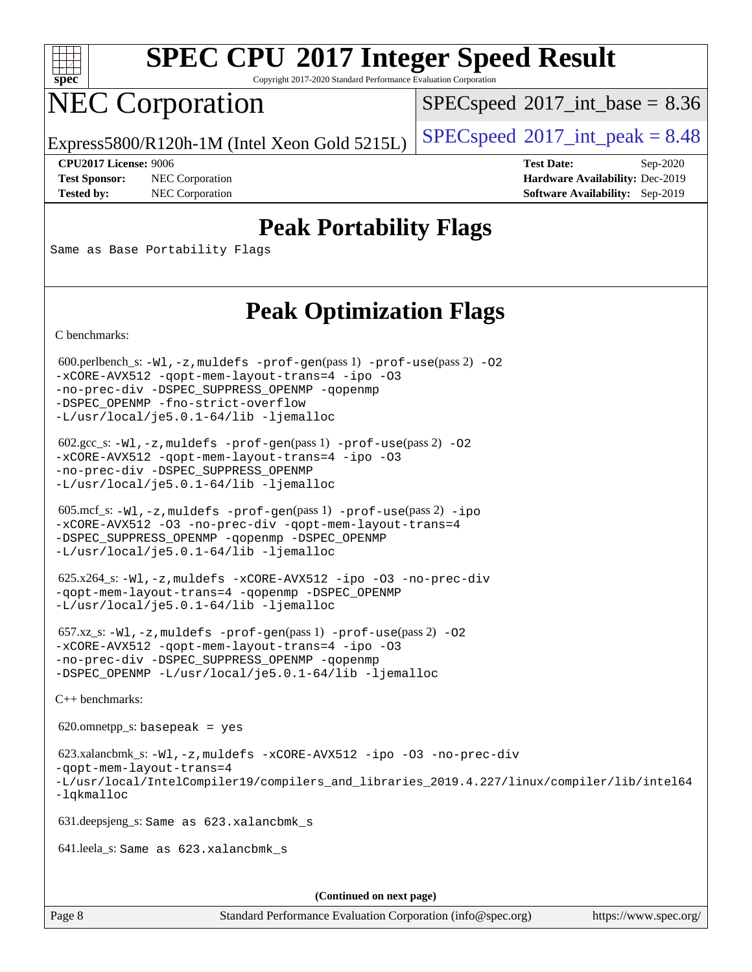

Copyright 2017-2020 Standard Performance Evaluation Corporation

# NEC Corporation

 $SPECspeed^{\circledcirc}2017\_int\_base = 8.36$  $SPECspeed^{\circledcirc}2017\_int\_base = 8.36$ 

Express5800/R120h-1M (Intel Xeon Gold 5215L)  $\left|$  [SPECspeed](http://www.spec.org/auto/cpu2017/Docs/result-fields.html#SPECspeed2017intpeak)®[2017\\_int\\_peak = 8](http://www.spec.org/auto/cpu2017/Docs/result-fields.html#SPECspeed2017intpeak).48

**[Test Sponsor:](http://www.spec.org/auto/cpu2017/Docs/result-fields.html#TestSponsor)** NEC Corporation **[Hardware Availability:](http://www.spec.org/auto/cpu2017/Docs/result-fields.html#HardwareAvailability)** Dec-2019 **[Tested by:](http://www.spec.org/auto/cpu2017/Docs/result-fields.html#Testedby)** NEC Corporation **[Software Availability:](http://www.spec.org/auto/cpu2017/Docs/result-fields.html#SoftwareAvailability)** Sep-2019

**[CPU2017 License:](http://www.spec.org/auto/cpu2017/Docs/result-fields.html#CPU2017License)** 9006 **[Test Date:](http://www.spec.org/auto/cpu2017/Docs/result-fields.html#TestDate)** Sep-2020

### **[Peak Portability Flags](http://www.spec.org/auto/cpu2017/Docs/result-fields.html#PeakPortabilityFlags)**

Same as Base Portability Flags

### **[Peak Optimization Flags](http://www.spec.org/auto/cpu2017/Docs/result-fields.html#PeakOptimizationFlags)**

[C benchmarks](http://www.spec.org/auto/cpu2017/Docs/result-fields.html#Cbenchmarks):

600.perlbench\_s:  $-W1$ , -z, muldefs [-prof-gen](http://www.spec.org/cpu2017/results/res2020q4/cpu2017-20200928-24125.flags.html#user_peakPASS1_CFLAGSPASS1_LDFLAGS600_perlbench_s_prof_gen_5aa4926d6013ddb2a31985c654b3eb18169fc0c6952a63635c234f711e6e63dd76e94ad52365559451ec499a2cdb89e4dc58ba4c67ef54ca681ffbe1461d6b36)(pass 1) [-prof-use](http://www.spec.org/cpu2017/results/res2020q4/cpu2017-20200928-24125.flags.html#user_peakPASS2_CFLAGSPASS2_LDFLAGS600_perlbench_s_prof_use_1a21ceae95f36a2b53c25747139a6c16ca95bd9def2a207b4f0849963b97e94f5260e30a0c64f4bb623698870e679ca08317ef8150905d41bd88c6f78df73f19)(pass 2) -02 [-xCORE-AVX512](http://www.spec.org/cpu2017/results/res2020q4/cpu2017-20200928-24125.flags.html#user_peakPASS2_COPTIMIZE600_perlbench_s_f-xCORE-AVX512) [-qopt-mem-layout-trans=4](http://www.spec.org/cpu2017/results/res2020q4/cpu2017-20200928-24125.flags.html#user_peakPASS1_COPTIMIZEPASS2_COPTIMIZE600_perlbench_s_f-qopt-mem-layout-trans_fa39e755916c150a61361b7846f310bcdf6f04e385ef281cadf3647acec3f0ae266d1a1d22d972a7087a248fd4e6ca390a3634700869573d231a252c784941a8) [-ipo](http://www.spec.org/cpu2017/results/res2020q4/cpu2017-20200928-24125.flags.html#user_peakPASS2_COPTIMIZE600_perlbench_s_f-ipo) [-O3](http://www.spec.org/cpu2017/results/res2020q4/cpu2017-20200928-24125.flags.html#user_peakPASS2_COPTIMIZE600_perlbench_s_f-O3) [-no-prec-div](http://www.spec.org/cpu2017/results/res2020q4/cpu2017-20200928-24125.flags.html#user_peakPASS2_COPTIMIZE600_perlbench_s_f-no-prec-div) [-DSPEC\\_SUPPRESS\\_OPENMP](http://www.spec.org/cpu2017/results/res2020q4/cpu2017-20200928-24125.flags.html#suite_peakPASS1_COPTIMIZE600_perlbench_s_DSPEC_SUPPRESS_OPENMP) [-qopenmp](http://www.spec.org/cpu2017/results/res2020q4/cpu2017-20200928-24125.flags.html#user_peakPASS2_COPTIMIZE600_perlbench_s_qopenmp_16be0c44f24f464004c6784a7acb94aca937f053568ce72f94b139a11c7c168634a55f6653758ddd83bcf7b8463e8028bb0b48b77bcddc6b78d5d95bb1df2967) [-DSPEC\\_OPENMP](http://www.spec.org/cpu2017/results/res2020q4/cpu2017-20200928-24125.flags.html#suite_peakPASS2_COPTIMIZE600_perlbench_s_DSPEC_OPENMP) [-fno-strict-overflow](http://www.spec.org/cpu2017/results/res2020q4/cpu2017-20200928-24125.flags.html#user_peakEXTRA_OPTIMIZE600_perlbench_s_f-fno-strict-overflow) [-L/usr/local/je5.0.1-64/lib](http://www.spec.org/cpu2017/results/res2020q4/cpu2017-20200928-24125.flags.html#user_peakEXTRA_LIBS600_perlbench_s_jemalloc_link_path64_4b10a636b7bce113509b17f3bd0d6226c5fb2346b9178c2d0232c14f04ab830f976640479e5c33dc2bcbbdad86ecfb6634cbbd4418746f06f368b512fced5394) [-ljemalloc](http://www.spec.org/cpu2017/results/res2020q4/cpu2017-20200928-24125.flags.html#user_peakEXTRA_LIBS600_perlbench_s_jemalloc_link_lib_d1249b907c500fa1c0672f44f562e3d0f79738ae9e3c4a9c376d49f265a04b9c99b167ecedbf6711b3085be911c67ff61f150a17b3472be731631ba4d0471706)

 602.gcc\_s: [-Wl,-z,muldefs](http://www.spec.org/cpu2017/results/res2020q4/cpu2017-20200928-24125.flags.html#user_peakEXTRA_LDFLAGS602_gcc_s_link_force_multiple1_b4cbdb97b34bdee9ceefcfe54f4c8ea74255f0b02a4b23e853cdb0e18eb4525ac79b5a88067c842dd0ee6996c24547a27a4b99331201badda8798ef8a743f577) [-prof-gen](http://www.spec.org/cpu2017/results/res2020q4/cpu2017-20200928-24125.flags.html#user_peakPASS1_CFLAGSPASS1_LDFLAGS602_gcc_s_prof_gen_5aa4926d6013ddb2a31985c654b3eb18169fc0c6952a63635c234f711e6e63dd76e94ad52365559451ec499a2cdb89e4dc58ba4c67ef54ca681ffbe1461d6b36)(pass 1) [-prof-use](http://www.spec.org/cpu2017/results/res2020q4/cpu2017-20200928-24125.flags.html#user_peakPASS2_CFLAGSPASS2_LDFLAGS602_gcc_s_prof_use_1a21ceae95f36a2b53c25747139a6c16ca95bd9def2a207b4f0849963b97e94f5260e30a0c64f4bb623698870e679ca08317ef8150905d41bd88c6f78df73f19)(pass 2) [-O2](http://www.spec.org/cpu2017/results/res2020q4/cpu2017-20200928-24125.flags.html#user_peakPASS1_COPTIMIZE602_gcc_s_f-O2) [-xCORE-AVX512](http://www.spec.org/cpu2017/results/res2020q4/cpu2017-20200928-24125.flags.html#user_peakPASS2_COPTIMIZE602_gcc_s_f-xCORE-AVX512) [-qopt-mem-layout-trans=4](http://www.spec.org/cpu2017/results/res2020q4/cpu2017-20200928-24125.flags.html#user_peakPASS1_COPTIMIZEPASS2_COPTIMIZE602_gcc_s_f-qopt-mem-layout-trans_fa39e755916c150a61361b7846f310bcdf6f04e385ef281cadf3647acec3f0ae266d1a1d22d972a7087a248fd4e6ca390a3634700869573d231a252c784941a8) [-ipo](http://www.spec.org/cpu2017/results/res2020q4/cpu2017-20200928-24125.flags.html#user_peakPASS2_COPTIMIZE602_gcc_s_f-ipo) [-O3](http://www.spec.org/cpu2017/results/res2020q4/cpu2017-20200928-24125.flags.html#user_peakPASS2_COPTIMIZE602_gcc_s_f-O3) [-no-prec-div](http://www.spec.org/cpu2017/results/res2020q4/cpu2017-20200928-24125.flags.html#user_peakPASS2_COPTIMIZE602_gcc_s_f-no-prec-div) [-DSPEC\\_SUPPRESS\\_OPENMP](http://www.spec.org/cpu2017/results/res2020q4/cpu2017-20200928-24125.flags.html#suite_peakPASS1_COPTIMIZE602_gcc_s_DSPEC_SUPPRESS_OPENMP) [-L/usr/local/je5.0.1-64/lib](http://www.spec.org/cpu2017/results/res2020q4/cpu2017-20200928-24125.flags.html#user_peakEXTRA_LIBS602_gcc_s_jemalloc_link_path64_4b10a636b7bce113509b17f3bd0d6226c5fb2346b9178c2d0232c14f04ab830f976640479e5c33dc2bcbbdad86ecfb6634cbbd4418746f06f368b512fced5394) [-ljemalloc](http://www.spec.org/cpu2017/results/res2020q4/cpu2017-20200928-24125.flags.html#user_peakEXTRA_LIBS602_gcc_s_jemalloc_link_lib_d1249b907c500fa1c0672f44f562e3d0f79738ae9e3c4a9c376d49f265a04b9c99b167ecedbf6711b3085be911c67ff61f150a17b3472be731631ba4d0471706)

 605.mcf\_s: [-Wl,-z,muldefs](http://www.spec.org/cpu2017/results/res2020q4/cpu2017-20200928-24125.flags.html#user_peakEXTRA_LDFLAGS605_mcf_s_link_force_multiple1_b4cbdb97b34bdee9ceefcfe54f4c8ea74255f0b02a4b23e853cdb0e18eb4525ac79b5a88067c842dd0ee6996c24547a27a4b99331201badda8798ef8a743f577) [-prof-gen](http://www.spec.org/cpu2017/results/res2020q4/cpu2017-20200928-24125.flags.html#user_peakPASS1_CFLAGSPASS1_LDFLAGS605_mcf_s_prof_gen_5aa4926d6013ddb2a31985c654b3eb18169fc0c6952a63635c234f711e6e63dd76e94ad52365559451ec499a2cdb89e4dc58ba4c67ef54ca681ffbe1461d6b36)(pass 1) [-prof-use](http://www.spec.org/cpu2017/results/res2020q4/cpu2017-20200928-24125.flags.html#user_peakPASS2_CFLAGSPASS2_LDFLAGS605_mcf_s_prof_use_1a21ceae95f36a2b53c25747139a6c16ca95bd9def2a207b4f0849963b97e94f5260e30a0c64f4bb623698870e679ca08317ef8150905d41bd88c6f78df73f19)(pass 2) [-ipo](http://www.spec.org/cpu2017/results/res2020q4/cpu2017-20200928-24125.flags.html#user_peakPASS1_COPTIMIZEPASS2_COPTIMIZE605_mcf_s_f-ipo) [-xCORE-AVX512](http://www.spec.org/cpu2017/results/res2020q4/cpu2017-20200928-24125.flags.html#user_peakPASS2_COPTIMIZE605_mcf_s_f-xCORE-AVX512) [-O3](http://www.spec.org/cpu2017/results/res2020q4/cpu2017-20200928-24125.flags.html#user_peakPASS1_COPTIMIZEPASS2_COPTIMIZE605_mcf_s_f-O3) [-no-prec-div](http://www.spec.org/cpu2017/results/res2020q4/cpu2017-20200928-24125.flags.html#user_peakPASS1_COPTIMIZEPASS2_COPTIMIZE605_mcf_s_f-no-prec-div) [-qopt-mem-layout-trans=4](http://www.spec.org/cpu2017/results/res2020q4/cpu2017-20200928-24125.flags.html#user_peakPASS1_COPTIMIZEPASS2_COPTIMIZE605_mcf_s_f-qopt-mem-layout-trans_fa39e755916c150a61361b7846f310bcdf6f04e385ef281cadf3647acec3f0ae266d1a1d22d972a7087a248fd4e6ca390a3634700869573d231a252c784941a8) [-DSPEC\\_SUPPRESS\\_OPENMP](http://www.spec.org/cpu2017/results/res2020q4/cpu2017-20200928-24125.flags.html#suite_peakPASS1_COPTIMIZE605_mcf_s_DSPEC_SUPPRESS_OPENMP) [-qopenmp](http://www.spec.org/cpu2017/results/res2020q4/cpu2017-20200928-24125.flags.html#user_peakPASS2_COPTIMIZE605_mcf_s_qopenmp_16be0c44f24f464004c6784a7acb94aca937f053568ce72f94b139a11c7c168634a55f6653758ddd83bcf7b8463e8028bb0b48b77bcddc6b78d5d95bb1df2967) [-DSPEC\\_OPENMP](http://www.spec.org/cpu2017/results/res2020q4/cpu2017-20200928-24125.flags.html#suite_peakPASS2_COPTIMIZE605_mcf_s_DSPEC_OPENMP) [-L/usr/local/je5.0.1-64/lib](http://www.spec.org/cpu2017/results/res2020q4/cpu2017-20200928-24125.flags.html#user_peakEXTRA_LIBS605_mcf_s_jemalloc_link_path64_4b10a636b7bce113509b17f3bd0d6226c5fb2346b9178c2d0232c14f04ab830f976640479e5c33dc2bcbbdad86ecfb6634cbbd4418746f06f368b512fced5394) [-ljemalloc](http://www.spec.org/cpu2017/results/res2020q4/cpu2017-20200928-24125.flags.html#user_peakEXTRA_LIBS605_mcf_s_jemalloc_link_lib_d1249b907c500fa1c0672f44f562e3d0f79738ae9e3c4a9c376d49f265a04b9c99b167ecedbf6711b3085be911c67ff61f150a17b3472be731631ba4d0471706)

 625.x264\_s: [-Wl,-z,muldefs](http://www.spec.org/cpu2017/results/res2020q4/cpu2017-20200928-24125.flags.html#user_peakEXTRA_LDFLAGS625_x264_s_link_force_multiple1_b4cbdb97b34bdee9ceefcfe54f4c8ea74255f0b02a4b23e853cdb0e18eb4525ac79b5a88067c842dd0ee6996c24547a27a4b99331201badda8798ef8a743f577) [-xCORE-AVX512](http://www.spec.org/cpu2017/results/res2020q4/cpu2017-20200928-24125.flags.html#user_peakCOPTIMIZE625_x264_s_f-xCORE-AVX512) [-ipo](http://www.spec.org/cpu2017/results/res2020q4/cpu2017-20200928-24125.flags.html#user_peakCOPTIMIZE625_x264_s_f-ipo) [-O3](http://www.spec.org/cpu2017/results/res2020q4/cpu2017-20200928-24125.flags.html#user_peakCOPTIMIZE625_x264_s_f-O3) [-no-prec-div](http://www.spec.org/cpu2017/results/res2020q4/cpu2017-20200928-24125.flags.html#user_peakCOPTIMIZE625_x264_s_f-no-prec-div) [-qopt-mem-layout-trans=4](http://www.spec.org/cpu2017/results/res2020q4/cpu2017-20200928-24125.flags.html#user_peakCOPTIMIZE625_x264_s_f-qopt-mem-layout-trans_fa39e755916c150a61361b7846f310bcdf6f04e385ef281cadf3647acec3f0ae266d1a1d22d972a7087a248fd4e6ca390a3634700869573d231a252c784941a8) [-qopenmp](http://www.spec.org/cpu2017/results/res2020q4/cpu2017-20200928-24125.flags.html#user_peakCOPTIMIZE625_x264_s_qopenmp_16be0c44f24f464004c6784a7acb94aca937f053568ce72f94b139a11c7c168634a55f6653758ddd83bcf7b8463e8028bb0b48b77bcddc6b78d5d95bb1df2967) [-DSPEC\\_OPENMP](http://www.spec.org/cpu2017/results/res2020q4/cpu2017-20200928-24125.flags.html#suite_peakCOPTIMIZE625_x264_s_DSPEC_OPENMP) [-L/usr/local/je5.0.1-64/lib](http://www.spec.org/cpu2017/results/res2020q4/cpu2017-20200928-24125.flags.html#user_peakEXTRA_LIBS625_x264_s_jemalloc_link_path64_4b10a636b7bce113509b17f3bd0d6226c5fb2346b9178c2d0232c14f04ab830f976640479e5c33dc2bcbbdad86ecfb6634cbbd4418746f06f368b512fced5394) [-ljemalloc](http://www.spec.org/cpu2017/results/res2020q4/cpu2017-20200928-24125.flags.html#user_peakEXTRA_LIBS625_x264_s_jemalloc_link_lib_d1249b907c500fa1c0672f44f562e3d0f79738ae9e3c4a9c376d49f265a04b9c99b167ecedbf6711b3085be911c67ff61f150a17b3472be731631ba4d0471706)

 657.xz\_s: [-Wl,-z,muldefs](http://www.spec.org/cpu2017/results/res2020q4/cpu2017-20200928-24125.flags.html#user_peakEXTRA_LDFLAGS657_xz_s_link_force_multiple1_b4cbdb97b34bdee9ceefcfe54f4c8ea74255f0b02a4b23e853cdb0e18eb4525ac79b5a88067c842dd0ee6996c24547a27a4b99331201badda8798ef8a743f577) [-prof-gen](http://www.spec.org/cpu2017/results/res2020q4/cpu2017-20200928-24125.flags.html#user_peakPASS1_CFLAGSPASS1_LDFLAGS657_xz_s_prof_gen_5aa4926d6013ddb2a31985c654b3eb18169fc0c6952a63635c234f711e6e63dd76e94ad52365559451ec499a2cdb89e4dc58ba4c67ef54ca681ffbe1461d6b36)(pass 1) [-prof-use](http://www.spec.org/cpu2017/results/res2020q4/cpu2017-20200928-24125.flags.html#user_peakPASS2_CFLAGSPASS2_LDFLAGS657_xz_s_prof_use_1a21ceae95f36a2b53c25747139a6c16ca95bd9def2a207b4f0849963b97e94f5260e30a0c64f4bb623698870e679ca08317ef8150905d41bd88c6f78df73f19)(pass 2) [-O2](http://www.spec.org/cpu2017/results/res2020q4/cpu2017-20200928-24125.flags.html#user_peakPASS1_COPTIMIZE657_xz_s_f-O2) [-xCORE-AVX512](http://www.spec.org/cpu2017/results/res2020q4/cpu2017-20200928-24125.flags.html#user_peakPASS2_COPTIMIZE657_xz_s_f-xCORE-AVX512) [-qopt-mem-layout-trans=4](http://www.spec.org/cpu2017/results/res2020q4/cpu2017-20200928-24125.flags.html#user_peakPASS1_COPTIMIZEPASS2_COPTIMIZE657_xz_s_f-qopt-mem-layout-trans_fa39e755916c150a61361b7846f310bcdf6f04e385ef281cadf3647acec3f0ae266d1a1d22d972a7087a248fd4e6ca390a3634700869573d231a252c784941a8) [-ipo](http://www.spec.org/cpu2017/results/res2020q4/cpu2017-20200928-24125.flags.html#user_peakPASS2_COPTIMIZE657_xz_s_f-ipo) [-O3](http://www.spec.org/cpu2017/results/res2020q4/cpu2017-20200928-24125.flags.html#user_peakPASS2_COPTIMIZE657_xz_s_f-O3) [-no-prec-div](http://www.spec.org/cpu2017/results/res2020q4/cpu2017-20200928-24125.flags.html#user_peakPASS2_COPTIMIZE657_xz_s_f-no-prec-div) [-DSPEC\\_SUPPRESS\\_OPENMP](http://www.spec.org/cpu2017/results/res2020q4/cpu2017-20200928-24125.flags.html#suite_peakPASS1_COPTIMIZE657_xz_s_DSPEC_SUPPRESS_OPENMP) [-qopenmp](http://www.spec.org/cpu2017/results/res2020q4/cpu2017-20200928-24125.flags.html#user_peakPASS2_COPTIMIZE657_xz_s_qopenmp_16be0c44f24f464004c6784a7acb94aca937f053568ce72f94b139a11c7c168634a55f6653758ddd83bcf7b8463e8028bb0b48b77bcddc6b78d5d95bb1df2967) [-DSPEC\\_OPENMP](http://www.spec.org/cpu2017/results/res2020q4/cpu2017-20200928-24125.flags.html#suite_peakPASS2_COPTIMIZE657_xz_s_DSPEC_OPENMP) [-L/usr/local/je5.0.1-64/lib](http://www.spec.org/cpu2017/results/res2020q4/cpu2017-20200928-24125.flags.html#user_peakEXTRA_LIBS657_xz_s_jemalloc_link_path64_4b10a636b7bce113509b17f3bd0d6226c5fb2346b9178c2d0232c14f04ab830f976640479e5c33dc2bcbbdad86ecfb6634cbbd4418746f06f368b512fced5394) [-ljemalloc](http://www.spec.org/cpu2017/results/res2020q4/cpu2017-20200928-24125.flags.html#user_peakEXTRA_LIBS657_xz_s_jemalloc_link_lib_d1249b907c500fa1c0672f44f562e3d0f79738ae9e3c4a9c376d49f265a04b9c99b167ecedbf6711b3085be911c67ff61f150a17b3472be731631ba4d0471706)

[C++ benchmarks:](http://www.spec.org/auto/cpu2017/Docs/result-fields.html#CXXbenchmarks)

620.omnetpp\_s: basepeak = yes

```
 623.xalancbmk_s: -Wl,-z,muldefs -xCORE-AVX512 -ipo -O3 -no-prec-div
-qopt-mem-layout-trans=4
-L/usr/local/IntelCompiler19/compilers_and_libraries_2019.4.227/linux/compiler/lib/intel64
-lqkmalloc
```
631.deepsjeng\_s: Same as 623.xalancbmk\_s

641.leela\_s: Same as 623.xalancbmk\_s

**(Continued on next page)**